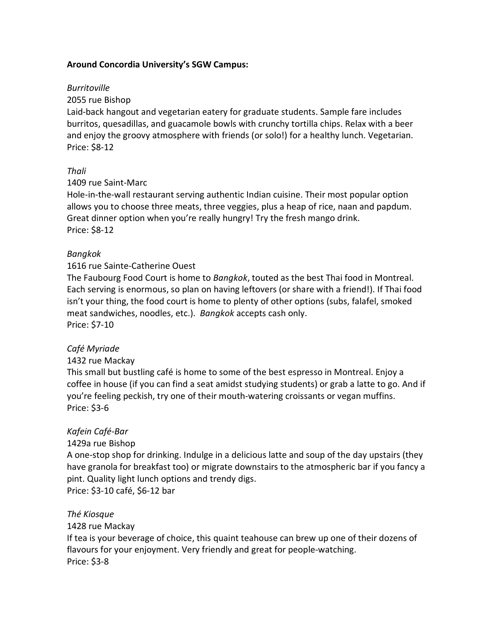## **Around'Concordia'University's'SGW'Campus:**

#### *Burritoville*

#### 2055 rue Bishop

Laid-back hangout and vegetarian eatery for graduate students. Sample fare includes burritos, quesadillas, and guacamole bowls with crunchy tortilla chips. Relax with a beer and enjoy the groovy atmosphere with friends (or solo!) for a healthy lunch. Vegetarian. Price: \$8-12

#### *Thali*

#### 1409 rue Saint-Marc

Hole-in-the-wall restaurant serving authentic Indian cuisine. Their most popular option allows you to choose three meats, three veggies, plus a heap of rice, naan and papdum. Great dinner option when you're really hungry! Try the fresh mango drink. Price: \$8-12

#### *Bangkok*

#### 1616 rue Sainte-Catherine Ouest

The Faubourg Food Court is home to *Bangkok*, touted as the best Thai food in Montreal. Each serving is enormous, so plan on having leftovers (or share with a friend!). If Thai food isn't your thing, the food court is home to plenty of other options (subs, falafel, smoked meat sandwiches, noodles, etc.). *Bangkok* accepts cash only. Price: \$7-10

#### Café Myriade

#### 1432 rue Mackay

This small but bustling café is home to some of the best espresso in Montreal. Enjoy a coffee in house (if you can find a seat amidst studying students) or grab a latte to go. And if you're feeling peckish, try one of their mouth-watering croissants or vegan muffins. Price: \$3-6

#### Kafein Café-Bar

#### 1429a rue Bishop

A one-stop shop for drinking. Indulge in a delicious latte and soup of the day upstairs (they have granola for breakfast too) or migrate downstairs to the atmospheric bar if you fancy a pint. Quality light lunch options and trendy digs.

Price: \$3-10 café, \$6-12 bar

#### *Thé3Kiosque*

#### 1428 rue Mackay

If tea is your beverage of choice, this quaint teahouse can brew up one of their dozens of flavours for your enjoyment. Very friendly and great for people-watching. Price: \$3-8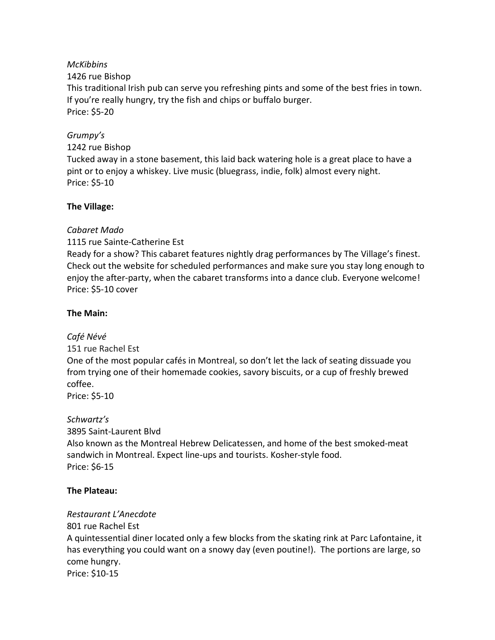#### **McKibbins**

#### 1426 rue Bishop

This traditional Irish pub can serve you refreshing pints and some of the best fries in town. If you're really hungry, try the fish and chips or buffalo burger. Price: \$5-20

## Grumpy's

1242 rue Bishop

Tucked away in a stone basement, this laid back watering hole is a great place to have a pint or to enjoy a whiskey. Live music (bluegrass, indie, folk) almost every night. Price: \$5-10

#### The Village:

## Cabaret Mado

1115 rue Sainte-Catherine Est

Ready for a show? This cabaret features nightly drag performances by The Village's finest. Check out the website for scheduled performances and make sure you stay long enough to enjoy the after-party, when the cabaret transforms into a dance club. Everyone welcome! Price: \$5-10 cover

## The Main:

Café Névé 151 rue Rachel Est One of the most popular cafés in Montreal, so don't let the lack of seating dissuade you from trying one of their homemade cookies, savory biscuits, or a cup of freshly brewed coffee. Price: \$5-10

Schwartz's 3895 Saint-Laurent Blvd Also known as the Montreal Hebrew Delicatessen, and home of the best smoked-meat sandwich in Montreal. Expect line-ups and tourists. Kosher-style food. Price: \$6-15

# The Plateau:

# Restaurant L'Anecdote

801 rue Rachel Est A quintessential diner located only a few blocks from the skating rink at Parc Lafontaine, it has everything you could want on a snowy day (even poutine!). The portions are large, so come hungry. Price: \$10-15